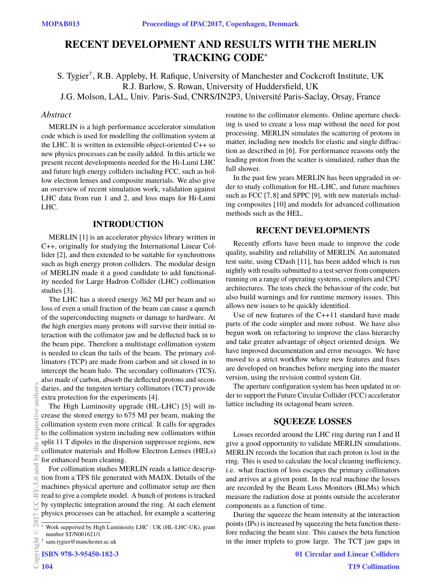# **RECENT DEVELOPMENT AND RESULTS WITH THE MERLIN TRACKING CODE**<sup>∗</sup>

S. Tygier† , R.B. Appleby, H. Rafique, University of Manchester and Cockcroft Institute, UK R.J. Barlow, S. Rowan, University of Huddersfield, UK J.G. Molson, LAL, Univ. Paris-Sud, CNRS/IN2P3, Université Paris-Saclay, Orsay, France

## *Abstract*

MERLIN is a high performance accelerator simulation code which is used for modelling the collimation system at the LHC. It is written in extensible object-oriented C++ so new physics processes can be easily added. In this article we present recent developments needed for the Hi-Lumi LHC and future high energy colliders including FCC, such as hollow electron lenses and composite materials. We also give an overview of recent simulation work, validation against LHC data from run 1 and 2, and loss maps for Hi-Lumi LHC.

## **INTRODUCTION**

MERLIN [1] is an accelerator physics library written in C++, originally for studying the International Linear Collider [2], and then extended to be suitable for synchrotrons such as high energy proton colliders. The modular design of MERLIN made it a good candidate to add functionality needed for Large Hadron Collider (LHC) collimation studies [3].

The LHC has a stored energy 362 MJ per beam and so loss of even a small fraction of the beam can cause a quench of the superconducting magnets or damage to hardware. At the high energies many protons will survive their initial interaction with the collimator jaw and be deflected back in to the beam pipe. Therefore a multistage collimation system is needed to clean the tails of the beam. The primary collimators (TCP) are made from carbon and sit closed in to intercept the beam halo. The secondary collimators (TCS), also made of carbon, absorb the deflected protons and secondaries, and the tungsten tertiary collimators (TCT) provide extra protection for the experiments [4].

The High Luminosity upgrade (HL-LHC) [5] will increase the stored energy to 675 MJ per beam, making the collimation system even more critical. It calls for upgrades to the collimation system including new collimators within split 11 T dipoles in the dispersion suppressor regions, new collimator materials and Hollow Electron Lenses (HELs) for enhanced beam cleaning. **2017 CC-BY-3.0 and by the respective authors**

For collimation studies MERLIN reads a lattice description from a TFS file generated with MADX. Details of the machines physical aperture and collimator setup are then read to give a complete model. A bunch of protons is tracked by symplectic integration around the ring. At each element physics processes can be attached, for example a scattering

**ISBN 978-3-95450-182-3**

routine to the collimator elements. Online aperture checking is used to create a loss map without the need for post processing. MERLIN simulates the scattering of protons in matter, including new models for elastic and single diffraction as described in [6]. For performance reasons only the leading proton from the scatter is simulated, rather than the full shower.

In the past few years MERLIN has been upgraded in order to study collimation for HL-LHC, and future machines such as FCC [7, 8] and SPPC [9], with new materials including composites [10] and models for advanced collimation methods such as the HEL.

#### **RECENT DEVELOPMENTS**

Recently efforts have been made to improve the code quality, usability and reliability of MERLIN. An automated test suite, using CDash [11], has been added which is run nightly with results submitted to a test server from computers running on a range of operating systems, compilers and CPU architectures. The tests check the behaviour of the code, but also build warnings and for runtime memory issues. This allows new issues to be quickly identified.

Use of new features of the C++11 standard have made parts of the code simpler and more robust. We have also begun work on refactoring to improve the class hierarchy and take greater advantage of object oriented design. We have improved documentation and error messages. We have moved to a strict workflow where new features and fixes are developed on branches before merging into the master version, using the revision control system Git.

The aperture configuration system has been updated in order to support the Future Circular Collider (FCC) accelerator lattice including its octagonal beam screen.

#### **SQUEEZE LOSSES**

Losses recorded around the LHC ring during run I and II give a good opportunity to validate MERLIN simulations. MERLIN records the location that each proton is lost in the ring. This is used to calculate the local cleaning inefficiency, i.e. what fraction of loss escapes the primary collimators and arrives at a given point. In the real machine the losses are recorded by the Beam Loss Monitors (BLMs) which measure the radiation dose at points outside the accelerator components as a function of time.

During the squeeze the beam intensity at the interaction points (IPs) is increased by squeezing the beta function therefore reducing the beam size. This causes the beta function in the inner triplets to grow large. The TCT jaw gaps in

**©**

 $\widehat{\mathbb{Z}}$ 

authors

the  $\geq$ and

Work supported by High Luminosity LHC : UK (HL-LHC-UK), grant number ST/N001621/1

<sup>†</sup> sam.tygier@manchester.ac.uk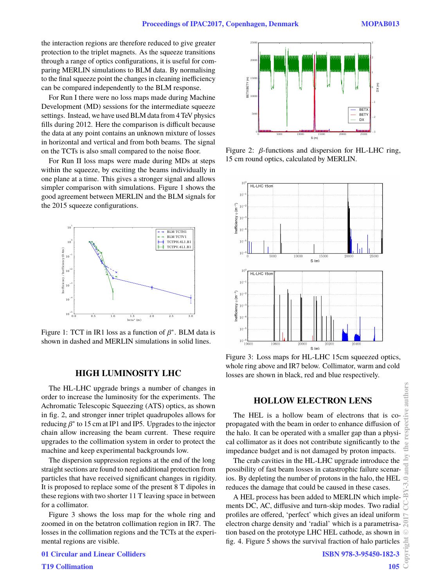the interaction regions are therefore reduced to give greater protection to the triplet magnets. As the squeeze transitions through a range of optics configurations, it is useful for comparing MERLIN simulations to BLM data. By normalising to the final squeeze point the changes in cleaning inefficiency can be compared independently to the BLM response.

For Run I there were no loss maps made during Machine Development (MD) sessions for the intermediate squeeze settings. Instead, we have used BLM data from 4 TeV physics fills during 2012. Here the comparison is difficult because the data at any point contains an unknown mixture of losses in horizontal and vertical and from both beams. The signal on the TCTs is also small compared to the noise floor.

For Run II loss maps were made during MDs at steps within the squeeze, by exciting the beams individually in one plane at a time. This gives a stronger signal and allows simpler comparison with simulations. Figure 1 shows the good agreement between MERLIN and the BLM signals for the 2015 squeeze configurations.



Figure 1: TCT in IR1 loss as a function of  $\beta^*$ . BLM data is<br>shown in dashed and MERI IN simulations in solid lines shown in dashed and MERLIN simulations in solid lines.

## **HIGH LUMINOSITY LHC**

The HL-LHC upgrade brings a number of changes in order to increase the luminosity for the experiments. The Achromatic Telescopic Squeezing (ATS) optics, as shown in fig. 2, and stronger inner triplet quadrupoles allows for reducing  $β^*$  to 15 cm at IP1 and IP5. Upgrades to the injector chain allow increasing the beam current. These require chain allow increasing the beam current. These require upgrades to the collimation system in order to protect the machine and keep experimental backgrounds low.

The dispersion suppression regions at the end of the long straight sections are found to need additional protection from particles that have received significant changes in rigidity. It is proposed to replace some of the present 8 T dipoles in these regions with two shorter 11 T leaving space in between for a collimator.

Figure 3 shows the loss map for the whole ring and zoomed in on the betatron collimation region in IR7. The losses in the collimation regions and the TCTs at the experimental regions are visible.

0 5000 10000 15000 20000 25000  $S(m)$ °5 5000 10000 15000 20000  $^{25000}$   $\Gamma$ BETX BETY (m) **BET BETY**  $\overline{D}x$ −3 −2 −1  $\mathbf{0}$ 1 2 3  $\widehat{E}$ 

Figure 2:  $β$ -functions and dispersion for HL-LHC ring, 15 cm round optics, calculated by MERLIN.



Figure 3: Loss maps for HL-LHC 15cm squeezed optics, whole ring above and IR7 below. Collimator, warm and cold losses are shown in black, red and blue respectively.

## **HOLLOW ELECTRON LENS**

The HEL is a hollow beam of electrons that is copropagated with the beam in order to enhance diffusion of the halo. It can be operated with a smaller gap than a physical collimator as it does not contribute significantly to the impedance budget and is not damaged by proton impacts.

The crab cavities in the HL-LHC upgrade introduce the possibility of fast beam losses in catastrophic failure scenarios. By depleting the number of protons in the halo, the HEL reduces the damage that could be caused in these cases.

A HEL process has been added to MERLIN which implements DC, AC, diffusive and turn-skip modes. Two radial profiles are offered, 'perfect' which gives an ideal uniform electron charge density and 'radial' which is a parametrisation based on the prototype LHC HEL cathode, as shown in fig. 4. Figure 5 shows the survival fraction of halo particles

**T19 Collimation**

**01 Circular and Linear Colliders**